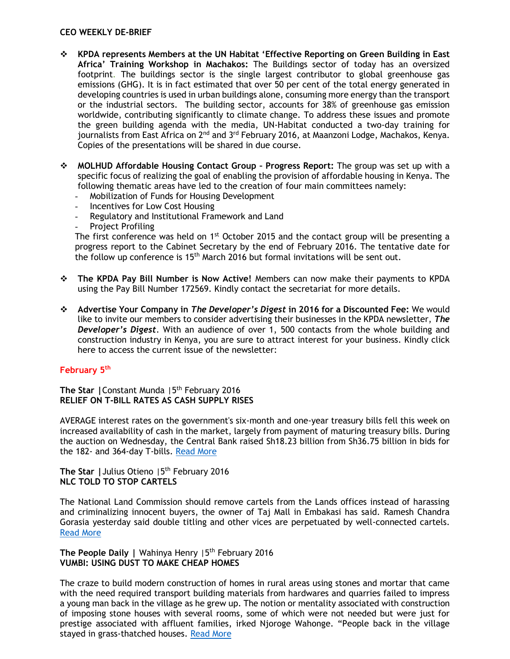#### **CEO WEEKLY DE-BRIEF**

- **KPDA represents Members at the UN Habitat 'Effective Reporting on Green Building in East Africa' Training Workshop in Machakos:** The Buildings sector of today has an oversized footprint*.* The buildings sector is the single largest contributor to global greenhouse gas emissions (GHG). It is in fact estimated that over 50 per cent of the total energy generated in developing countries is used in urban buildings alone, consuming more energy than the transport or the industrial sectors. The building sector, accounts for 38% of greenhouse gas emission worldwide, contributing significantly to climate change. To address these issues and promote the green building agenda with the media, UN-Habitat conducted a two-day training for journalists from East Africa on 2<sup>nd</sup> and 3<sup>rd</sup> February 2016, at Maanzoni Lodge, Machakos, Kenya. Copies of the presentations will be shared in due course.
- **MOLHUD Affordable Housing Contact Group – Progress Report:** The group was set up with a specific focus of realizing the goal of enabling the provision of affordable housing in Kenya. The following thematic areas have led to the creation of four main committees namely:
	- Mobilization of Funds for Housing Development
	- Incentives for Low Cost Housing
	- Regulatory and Institutional Framework and Land
	- Project Profiling

The first conference was held on  $1^{st}$  October 2015 and the contact group will be presenting a progress report to the Cabinet Secretary by the end of February 2016. The tentative date for the follow up conference is  $15<sup>th</sup>$  March 2016 but formal invitations will be sent out.

- **The KPDA Pay Bill Number is Now Active!** Members can now make their payments to KPDA using the Pay Bill Number 172569. Kindly contact the secretariat for more details.
- **Advertise Your Company in** *The Developer's Digest* **in 2016 for a Discounted Fee:** We would like to invite our members to consider advertising their businesses in the KPDA newsletter, *The Developer's Digest*. With an audience of over 1, 500 contacts from the whole building and construction industry in Kenya, you are sure to attract interest for your business. Kindly click here to access the current issue of the newsletter:

### **February 5th**

The Star | Constant Munda | 5<sup>th</sup> February 2016 **RELIEF ON T-BILL RATES AS CASH SUPPLY RISES**

AVERAGE interest rates on the government's six-month and one-year treasury bills fell this week on increased availability of cash in the market, largely from payment of maturing treasury bills. During the auction on Wednesday, the Central Bank raised Sh18.23 billion from Sh36.75 billion in bids for the 182- and 364-day T-bills. [Read More](http://www.the-star.co.ke/news/2016/02/05/relief-on-t-bill-rates-as-cash-supply-rises_c1289190)

The Star | Julius Otieno | 5<sup>th</sup> February 2016 **NLC TOLD TO STOP CARTELS**

The National Land Commission should remove cartels from the Lands offices instead of harassing and criminalizing innocent buyers, the owner of Taj Mall in Embakasi has said. Ramesh Chandra Gorasia yesterday said double titling and other vices are perpetuated by well-connected cartels. [Read More](http://www.the-star.co.ke/news/2016/02/05/nlc-told-to-stop-cartels_c1288905)

### **The People Daily |** Wahinya Henry |5 th February 2016 **VUMBI: USING DUST TO MAKE CHEAP HOMES**

The craze to build modern construction of homes in rural areas using stones and mortar that came with the need required transport building materials from hardwares and quarries failed to impress a young man back in the village as he grew up. The notion or mentality associated with construction of imposing stone houses with several rooms, some of which were not needed but were just for prestige associated with affluent families, irked Njoroge Wahonge. "People back in the village stayed in grass-thatched houses. [Read More](http://www.mediamaxnetwork.co.ke/people-daily/197236/vumbi-using-dust-to-make-cheap-homes/)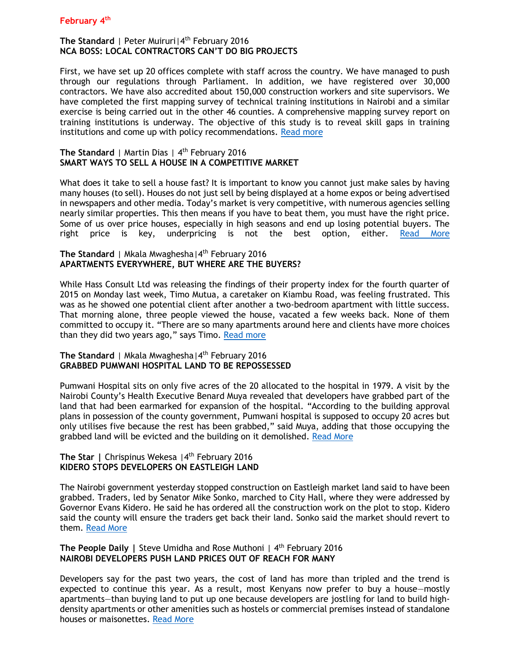### The Standard | Peter Muiruri | 4<sup>th</sup> February 2016 **NCA BOSS: LOCAL CONTRACTORS CAN'T DO BIG PROJECTS**

First, we have set up 20 offices complete with staff across the country. We have managed to push through our regulations through Parliament. In addition, we have registered over 30,000 contractors. We have also accredited about 150,000 construction workers and site supervisors. We have completed the first mapping survey of technical training institutions in Nairobi and a similar exercise is being carried out in the other 46 counties. A comprehensive mapping survey report on training institutions is underway. The objective of this study is to reveal skill gaps in training institutions and come up with policy recommendations. [Read more](file:///C:/Users/KPDA/Downloads/Read%20more%20at:%20http:/www.standardmedia.co.ke/lifestyle/article/2000190474/nca-boss-local-contractors-can-t-do-big-projects)

## **The Standard** | Martin Dias | 4<sup>th</sup> February 2016 **SMART WAYS TO SELL A HOUSE IN A COMPETITIVE MARKET**

What does it take to sell a house fast? It is important to know you cannot just make sales by having many houses (to sell). Houses do not just sell by being displayed at a home expos or being advertised in newspapers and other media. Today's market is very competitive, with numerous agencies selling nearly similar properties. This then means if you have to beat them, you must have the right price. Some of us over price houses, especially in high seasons and end up losing potential buyers. The right price is key, underpricing is not the best option, either. [Read More](file:///C:/Users/KPDA/Downloads/Read%20more%20at:%20http:/www.standardmedia.co.ke/lifestyle/article/2000190476/smart-ways-to-sell-a-house-in-a-competitive-market)

#### **The Standard** | Mkala Mwaghesha|4th February 2016 **APARTMENTS EVERYWHERE, BUT WHERE ARE THE BUYERS?**

While Hass Consult Ltd was releasing the findings of their property index for the fourth quarter of 2015 on Monday last week, Timo Mutua, a caretaker on Kiambu Road, was feeling frustrated. This was as he showed one potential client after another a two-bedroom apartment with little success. That morning alone, three people viewed the house, vacated a few weeks back. None of them committed to occupy it. "There are so many apartments around here and clients have more choices than they did two years ago," says Timo. [Read more](file:///C:/Users/KPDA/Downloads/Read%20more%20at:%20http:/www.standardmedia.co.ke/lifestyle/article/2000190469/apartments-everywhere-but-where-are-the-buyers)

### **The Standard** | Mkala Mwaghesha|4th February 2016 **GRABBED PUMWANI HOSPITAL LAND TO BE REPOSSESSED**

Pumwani Hospital sits on only five acres of the 20 allocated to the hospital in 1979. A visit by the Nairobi County's Health Executive Benard Muya revealed that developers have grabbed part of the land that had been earmarked for expansion of the hospital. "According to the building approval plans in possession of the county government, Pumwani hospital is supposed to occupy 20 acres but only utilises five because the rest has been grabbed," said Muya, adding that those occupying the grabbed land will be evicted and the building on it demolished. [Read More](file:///C:/Users/KPDA/Downloads/Read%20more%20at:%20http:/www.standardmedia.co.ke/lifestyle/article/2000190461/grabbed-pumwani-hospital-land-to-be-repossessed)

### The Star | Chrispinus Wekesa | 4<sup>th</sup> February 2016 **KIDERO STOPS DEVELOPERS ON EASTLEIGH LAND**

The Nairobi government yesterday stopped construction on Eastleigh market land said to have been grabbed. Traders, led by Senator Mike Sonko, marched to City Hall, where they were addressed by Governor Evans Kidero. He said he has ordered all the construction work on the plot to stop. Kidero said the county will ensure the traders get back their land. Sonko said the market should revert to them. [Read](http://www.the-star.co.ke/news/2016/02/04/kidero-stops-developers-on-eastleigh-land_c1288311) More

### **The People Daily | Steve Umidha and Rose Muthoni | 4<sup>th</sup> February 2016 NAIROBI DEVELOPERS PUSH LAND PRICES OUT OF REACH FOR MANY**

Developers say for the past two years, the cost of land has more than tripled and the trend is expected to continue this year. As a result, most Kenyans now prefer to buy a house—mostly apartments—than buying land to put up one because developers are jostling for land to build highdensity apartments or other amenities such as hostels or commercial premises instead of standalone houses or maisonettes. [Read More](http://www.mediamaxnetwork.co.ke/people-daily/197041/nairobi-developers-push-land-prices-out-of-reach-for-many/)